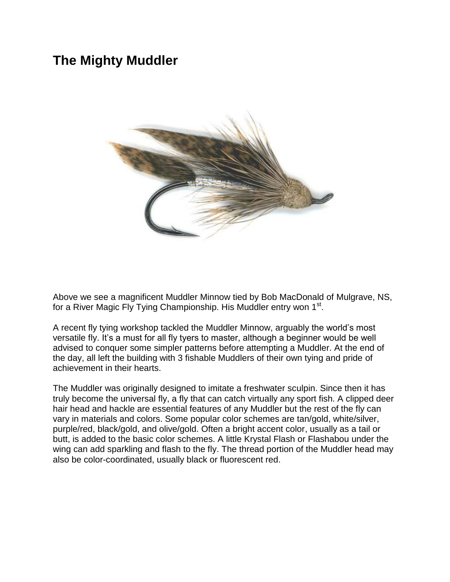## **The Mighty Muddler**



Above we see a magnificent Muddler Minnow tied by Bob MacDonald of Mulgrave, NS, for a River Magic Fly Tying Championship. His Muddler entry won 1<sup>st</sup>.

A recent fly tying workshop tackled the Muddler Minnow, arguably the world's most versatile fly. It's a must for all fly tyers to master, although a beginner would be well advised to conquer some simpler patterns before attempting a Muddler. At the end of the day, all left the building with 3 fishable Muddlers of their own tying and pride of achievement in their hearts.

The Muddler was originally designed to imitate a freshwater sculpin. Since then it has truly become the universal fly, a fly that can catch virtually any sport fish. A clipped deer hair head and hackle are essential features of any Muddler but the rest of the fly can vary in materials and colors. Some popular color schemes are tan/gold, white/silver, purple/red, black/gold, and olive/gold. Often a bright accent color, usually as a tail or butt, is added to the basic color schemes. A little Krystal Flash or Flashabou under the wing can add sparkling and flash to the fly. The thread portion of the Muddler head may also be color-coordinated, usually black or fluorescent red.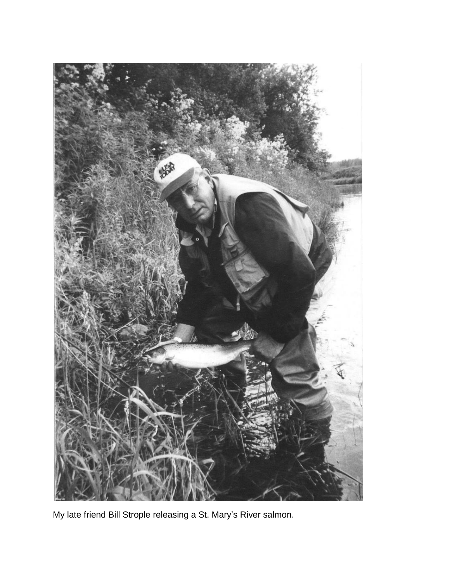

My late friend Bill Strople releasing a St. Mary's River salmon.